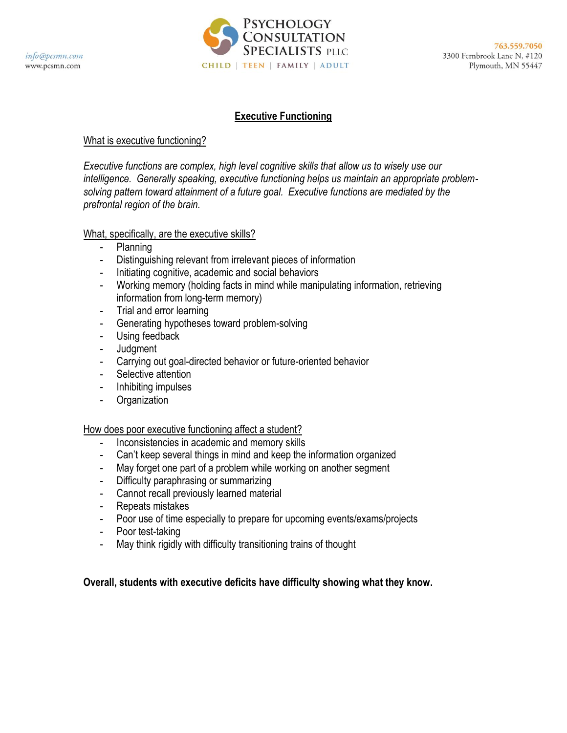

#### **Executive Functioning**

#### What is executive functioning?

*Executive functions are complex, high level cognitive skills that allow us to wisely use our intelligence. Generally speaking, executive functioning helps us maintain an appropriate problemsolving pattern toward attainment of a future goal. Executive functions are mediated by the prefrontal region of the brain.*

#### What, specifically, are the executive skills?

- Planning
- Distinguishing relevant from irrelevant pieces of information
- Initiating cognitive, academic and social behaviors
- Working memory (holding facts in mind while manipulating information, retrieving information from long-term memory)
- Trial and error learning
- Generating hypotheses toward problem-solving
- Using feedback
- Judgment
- Carrying out goal-directed behavior or future-oriented behavior
- Selective attention
- Inhibiting impulses
- **Organization**

#### How does poor executive functioning affect a student?

- Inconsistencies in academic and memory skills
- Can't keep several things in mind and keep the information organized
- May forget one part of a problem while working on another segment
- Difficulty paraphrasing or summarizing
- Cannot recall previously learned material
- Repeats mistakes
- Poor use of time especially to prepare for upcoming events/exams/projects
- Poor test-taking
- May think rigidly with difficulty transitioning trains of thought

**Overall, students with executive deficits have difficulty showing what they know.**